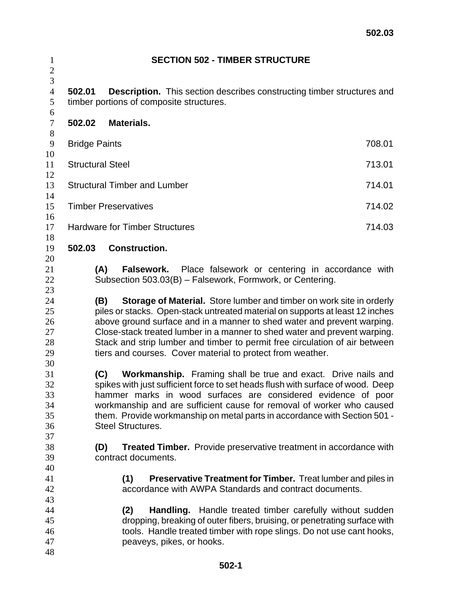| $\mathbf{1}$<br>$\mathbf{2}$           |                      | <b>SECTION 502 - TIMBER STRUCTURE</b>                                                                                                                                                                                                                                                                                                                                                                                                                             |        |  |  |  |  |
|----------------------------------------|----------------------|-------------------------------------------------------------------------------------------------------------------------------------------------------------------------------------------------------------------------------------------------------------------------------------------------------------------------------------------------------------------------------------------------------------------------------------------------------------------|--------|--|--|--|--|
| 3<br>$\overline{4}$<br>5               | 502.01               | <b>Description.</b> This section describes constructing timber structures and<br>timber portions of composite structures.                                                                                                                                                                                                                                                                                                                                         |        |  |  |  |  |
| 6<br>$\tau$                            | 502.02               | <b>Materials.</b>                                                                                                                                                                                                                                                                                                                                                                                                                                                 |        |  |  |  |  |
| $8\,$<br>9                             | <b>Bridge Paints</b> |                                                                                                                                                                                                                                                                                                                                                                                                                                                                   | 708.01 |  |  |  |  |
| 10<br>11                               |                      | <b>Structural Steel</b><br>713.01                                                                                                                                                                                                                                                                                                                                                                                                                                 |        |  |  |  |  |
| 12<br>13                               |                      | <b>Structural Timber and Lumber</b><br>714.01                                                                                                                                                                                                                                                                                                                                                                                                                     |        |  |  |  |  |
| 14<br>15<br>16                         |                      | <b>Timber Preservatives</b><br>714.02                                                                                                                                                                                                                                                                                                                                                                                                                             |        |  |  |  |  |
| 17<br>18                               |                      | <b>Hardware for Timber Structures</b><br>714.03                                                                                                                                                                                                                                                                                                                                                                                                                   |        |  |  |  |  |
| 19<br>20                               | 502.03               | <b>Construction.</b>                                                                                                                                                                                                                                                                                                                                                                                                                                              |        |  |  |  |  |
| 21<br>22<br>23                         |                      | (A)<br><b>Falsework.</b> Place falsework or centering in accordance with<br>Subsection 503.03(B) - Falsework, Formwork, or Centering.                                                                                                                                                                                                                                                                                                                             |        |  |  |  |  |
| 24<br>25<br>26<br>27<br>28<br>29<br>30 |                      | Storage of Material. Store lumber and timber on work site in orderly<br>(B)<br>piles or stacks. Open-stack untreated material on supports at least 12 inches<br>above ground surface and in a manner to shed water and prevent warping.<br>Close-stack treated lumber in a manner to shed water and prevent warping.<br>Stack and strip lumber and timber to permit free circulation of air between<br>tiers and courses. Cover material to protect from weather. |        |  |  |  |  |
| 31<br>32<br>33<br>34<br>35<br>36<br>37 |                      | (C)<br><b>Workmanship.</b> Framing shall be true and exact. Drive nails and<br>spikes with just sufficient force to set heads flush with surface of wood. Deep<br>hammer marks in wood surfaces are considered evidence of poor<br>workmanship and are sufficient cause for removal of worker who caused<br>them. Provide workmanship on metal parts in accordance with Section 501 -<br><b>Steel Structures.</b>                                                 |        |  |  |  |  |
| 38<br>39<br>40                         |                      | <b>Treated Timber.</b> Provide preservative treatment in accordance with<br>(D)<br>contract documents.                                                                                                                                                                                                                                                                                                                                                            |        |  |  |  |  |
| 41<br>42<br>43                         |                      | <b>Preservative Treatment for Timber.</b> Treat lumber and piles in<br>(1)<br>accordance with AWPA Standards and contract documents.                                                                                                                                                                                                                                                                                                                              |        |  |  |  |  |
| 44<br>45<br>46<br>47<br>48             |                      | Handling. Handle treated timber carefully without sudden<br>(2)<br>dropping, breaking of outer fibers, bruising, or penetrating surface with<br>tools. Handle treated timber with rope slings. Do not use cant hooks,<br>peaveys, pikes, or hooks.                                                                                                                                                                                                                |        |  |  |  |  |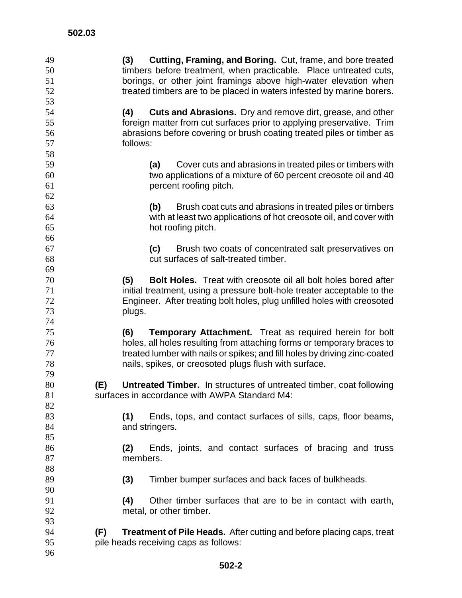| 49 | <b>Cutting, Framing, and Boring.</b> Cut, frame, and bore treated<br>(3)            |
|----|-------------------------------------------------------------------------------------|
| 50 | timbers before treatment, when practicable. Place untreated cuts,                   |
| 51 | borings, or other joint framings above high-water elevation when                    |
| 52 | treated timbers are to be placed in waters infested by marine borers.               |
| 53 |                                                                                     |
| 54 | <b>Cuts and Abrasions.</b> Dry and remove dirt, grease, and other<br>(4)            |
| 55 | foreign matter from cut surfaces prior to applying preservative. Trim               |
| 56 | abrasions before covering or brush coating treated piles or timber as               |
| 57 | follows:                                                                            |
| 58 |                                                                                     |
| 59 |                                                                                     |
|    | Cover cuts and abrasions in treated piles or timbers with<br>(a)                    |
| 60 | two applications of a mixture of 60 percent creosote oil and 40                     |
| 61 | percent roofing pitch.                                                              |
| 62 |                                                                                     |
| 63 | Brush coat cuts and abrasions in treated piles or timbers<br>(b)                    |
| 64 | with at least two applications of hot creosote oil, and cover with                  |
| 65 | hot roofing pitch.                                                                  |
| 66 |                                                                                     |
| 67 | Brush two coats of concentrated salt preservatives on<br>(c)                        |
| 68 | cut surfaces of salt-treated timber.                                                |
| 69 |                                                                                     |
| 70 | <b>Bolt Holes.</b> Treat with creosote oil all bolt holes bored after<br>(5)        |
| 71 | initial treatment, using a pressure bolt-hole treater acceptable to the             |
| 72 | Engineer. After treating bolt holes, plug unfilled holes with creosoted             |
| 73 | plugs.                                                                              |
| 74 |                                                                                     |
| 75 | (6)<br><b>Temporary Attachment.</b> Treat as required herein for bolt               |
| 76 | holes, all holes resulting from attaching forms or temporary braces to              |
| 77 | treated lumber with nails or spikes; and fill holes by driving zinc-coated          |
| 78 | nails, spikes, or creosoted plugs flush with surface.                               |
| 79 |                                                                                     |
| 80 |                                                                                     |
|    | <b>Untreated Timber.</b> In structures of untreated timber, coat following<br>(E)   |
| 81 | surfaces in accordance with AWPA Standard M4:                                       |
| 82 |                                                                                     |
| 83 | Ends, tops, and contact surfaces of sills, caps, floor beams,<br>(1)                |
| 84 | and stringers.                                                                      |
| 85 |                                                                                     |
| 86 | Ends, joints, and contact surfaces of bracing and truss<br>(2)                      |
| 87 | members.                                                                            |
| 88 |                                                                                     |
| 89 | Timber bumper surfaces and back faces of bulkheads.<br>(3)                          |
| 90 |                                                                                     |
| 91 | Other timber surfaces that are to be in contact with earth,<br>(4)                  |
| 92 | metal, or other timber.                                                             |
| 93 |                                                                                     |
| 94 | (F)<br><b>Treatment of Pile Heads.</b> After cutting and before placing caps, treat |
| 95 | pile heads receiving caps as follows:                                               |
| 96 |                                                                                     |
|    |                                                                                     |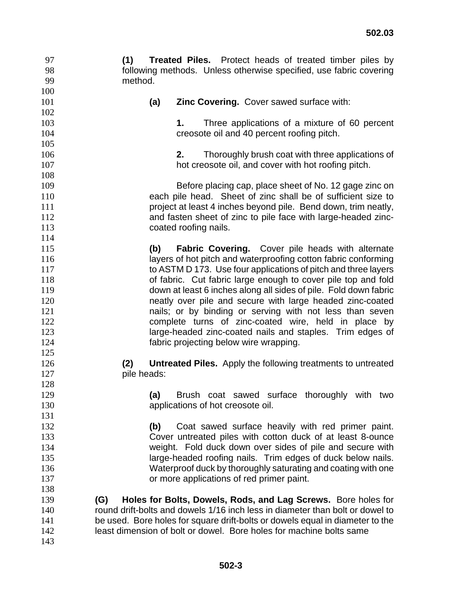| 99  | method.     |                                                                               |
|-----|-------------|-------------------------------------------------------------------------------|
| 100 |             |                                                                               |
| 101 | (a)         | <b>Zinc Covering.</b> Cover sawed surface with:                               |
| 102 |             |                                                                               |
| 103 |             | Three applications of a mixture of 60 percent<br>1.                           |
| 104 |             | creosote oil and 40 percent roofing pitch.                                    |
| 105 |             |                                                                               |
| 106 |             | 2.<br>Thoroughly brush coat with three applications of                        |
| 107 |             | hot creosote oil, and cover with hot roofing pitch.                           |
| 108 |             |                                                                               |
| 109 |             | Before placing cap, place sheet of No. 12 gage zinc on                        |
| 110 |             | each pile head. Sheet of zinc shall be of sufficient size to                  |
| 111 |             | project at least 4 inches beyond pile. Bend down, trim neatly,                |
| 112 |             | and fasten sheet of zinc to pile face with large-headed zinc-                 |
| 113 |             | coated roofing nails.                                                         |
| 114 |             |                                                                               |
| 115 | (b)         | <b>Fabric Covering.</b> Cover pile heads with alternate                       |
| 116 |             | layers of hot pitch and waterproofing cotton fabric conforming                |
| 117 |             | to ASTM D 173. Use four applications of pitch and three layers                |
| 118 |             | of fabric. Cut fabric large enough to cover pile top and fold                 |
| 119 |             | down at least 6 inches along all sides of pile. Fold down fabric              |
| 120 |             | neatly over pile and secure with large headed zinc-coated                     |
| 121 |             | nails; or by binding or serving with not less than seven                      |
| 122 |             | complete turns of zinc-coated wire, held in place by                          |
| 123 |             | large-headed zinc-coated nails and staples. Trim edges of                     |
| 124 |             | fabric projecting below wire wrapping.                                        |
| 125 |             |                                                                               |
| 126 | (2)         | <b>Untreated Piles.</b> Apply the following treatments to untreated           |
| 127 | pile heads: |                                                                               |
| 128 |             |                                                                               |
| 129 | (a)         | Brush coat sawed surface thoroughly with two                                  |
| 130 |             | applications of hot creosote oil.                                             |
| 131 |             |                                                                               |
| 132 | (b)         | Coat sawed surface heavily with red primer paint.                             |
| 133 |             | Cover untreated piles with cotton duck of at least 8-ounce                    |
| 134 |             | weight. Fold duck down over sides of pile and secure with                     |
| 135 |             | large-headed roofing nails. Trim edges of duck below nails.                   |
| 136 |             | Waterproof duck by thoroughly saturating and coating with one                 |
| 137 |             | or more applications of red primer paint.                                     |
| 138 |             |                                                                               |
| 139 | (G)         | Holes for Bolts, Dowels, Rods, and Lag Screws. Bore holes for                 |
| 140 |             | round drift-bolts and dowels 1/16 inch less in diameter than bolt or dowel to |
| 141 |             | be used. Bore holes for square drift-bolts or dowels equal in diameter to the |
| 142 |             | least dimension of bolt or dowel. Bore holes for machine bolts same           |
| 143 |             |                                                                               |
|     |             |                                                                               |

97 **(1) Treated Piles.** Protect heads of treated timber piles by<br>98 following methods. Unless otherwise specified, use fabric covering

following methods. Unless otherwise specified, use fabric covering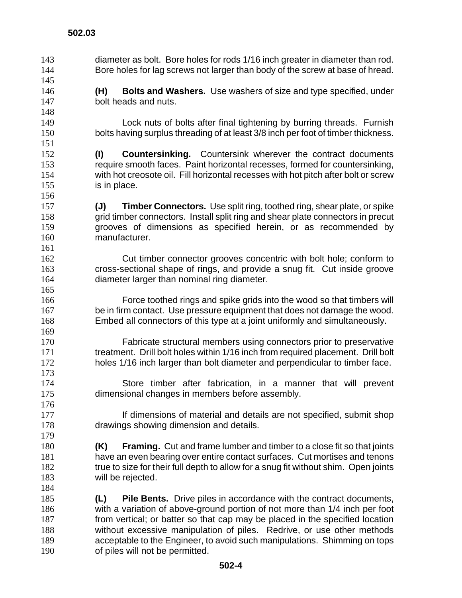diameter as bolt. Bore holes for rods 1/16 inch greater in diameter than rod. Bore holes for lag screws not larger than body of the screw at base of hread. **(H) Bolts and Washers.** Use washers of size and type specified, under bolt heads and nuts. Lock nuts of bolts after final tightening by burring threads. Furnish bolts having surplus threading of at least 3/8 inch per foot of timber thickness. **(I) Countersinking.** Countersink wherever the contract documents require smooth faces. Paint horizontal recesses, formed for countersinking, with hot creosote oil. Fill horizontal recesses with hot pitch after bolt or screw is in place. **(J) Timber Connectors.** Use split ring, toothed ring, shear plate, or spike grid timber connectors. Install split ring and shear plate connectors in precut grooves of dimensions as specified herein, or as recommended by manufacturer. Cut timber connector grooves concentric with bolt hole; conform to cross-sectional shape of rings, and provide a snug fit. Cut inside groove diameter larger than nominal ring diameter. Force toothed rings and spike grids into the wood so that timbers will be in firm contact. Use pressure equipment that does not damage the wood. Embed all connectors of this type at a joint uniformly and simultaneously. Fabricate structural members using connectors prior to preservative treatment. Drill bolt holes within 1/16 inch from required placement. Drill bolt holes 1/16 inch larger than bolt diameter and perpendicular to timber face. Store timber after fabrication, in a manner that will prevent dimensional changes in members before assembly. **If dimensions of material and details are not specified, submit shop** drawings showing dimension and details. **(K) Framing.** Cut and frame lumber and timber to a close fit so that joints have an even bearing over entire contact surfaces. Cut mortises and tenons 182 true to size for their full depth to allow for a snug fit without shim. Open joints will be rejected. **(L) Pile Bents.** Drive piles in accordance with the contract documents, with a variation of above-ground portion of not more than 1/4 inch per foot from vertical; or batter so that cap may be placed in the specified location without excessive manipulation of piles. Redrive, or use other methods acceptable to the Engineer, to avoid such manipulations. Shimming on tops of piles will not be permitted.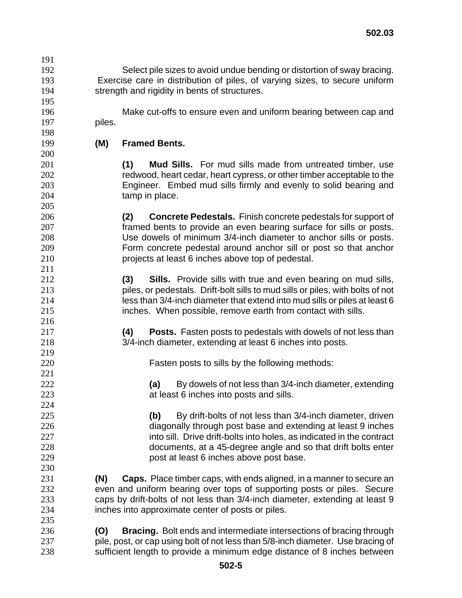Select pile sizes to avoid undue bending or distortion of sway bracing. Exercise care in distribution of piles, of varying sizes, to secure uniform strength and rigidity in bents of structures.

Make cut-offs to ensure even and uniform bearing between cap and piles.

**(M) Framed Bents.** 

**(1) Mud Sills.** For mud sills made from untreated timber, use redwood, heart cedar, heart cypress, or other timber acceptable to the Engineer. Embed mud sills firmly and evenly to solid bearing and tamp in place.

**(2) Concrete Pedestals.** Finish concrete pedestals for support of framed bents to provide an even bearing surface for sills or posts. Use dowels of minimum 3/4-inch diameter to anchor sills or posts. Form concrete pedestal around anchor sill or post so that anchor projects at least 6 inches above top of pedestal.

**(3) Sills.** Provide sills with true and even bearing on mud sills, piles, or pedestals. Drift-bolt sills to mud sills or piles, with bolts of not less than 3/4-inch diameter that extend into mud sills or piles at least 6 inches. When possible, remove earth from contact with sills.

**(4) Posts.** Fasten posts to pedestals with dowels of not less than 3/4-inch diameter, extending at least 6 inches into posts.

Fasten posts to sills by the following methods:

**(a)** By dowels of not less than 3/4-inch diameter, extending at least 6 inches into posts and sills.

**(b)** By drift-bolts of not less than 3/4-inch diameter, driven diagonally through post base and extending at least 9 inches 227 into sill. Drive drift-bolts into holes, as indicated in the contract documents, at a 45-degree angle and so that drift bolts enter post at least 6 inches above post base.

**(N) Caps.** Place timber caps, with ends aligned, in a manner to secure an even and uniform bearing over tops of supporting posts or piles. Secure caps by drift-bolts of not less than 3/4-inch diameter, extending at least 9 inches into approximate center of posts or piles.

**(O) Bracing.** Bolt ends and intermediate intersections of bracing through pile, post, or cap using bolt of not less than 5/8-inch diameter. Use bracing of sufficient length to provide a minimum edge distance of 8 inches between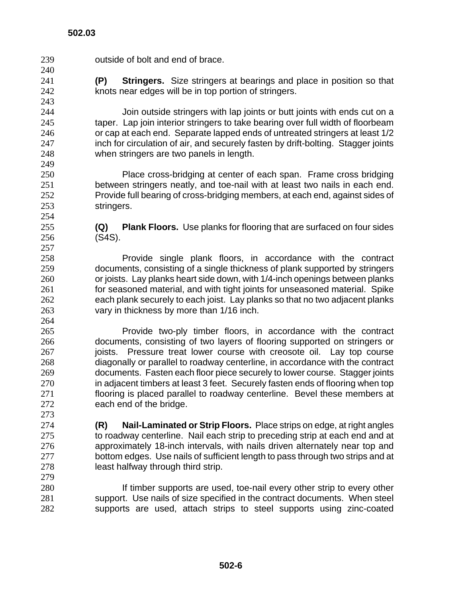| 239 | outside of bolt and end of brace.                                                   |
|-----|-------------------------------------------------------------------------------------|
| 240 |                                                                                     |
| 241 | <b>Stringers.</b> Size stringers at bearings and place in position so that<br>(P)   |
| 242 | knots near edges will be in top portion of stringers.                               |
| 243 |                                                                                     |
| 244 | Join outside stringers with lap joints or butt joints with ends cut on a            |
| 245 | taper. Lap join interior stringers to take bearing over full width of floorbeam     |
| 246 | or cap at each end. Separate lapped ends of untreated stringers at least 1/2        |
| 247 | inch for circulation of air, and securely fasten by drift-bolting. Stagger joints   |
| 248 | when stringers are two panels in length.                                            |
| 249 |                                                                                     |
| 250 | Place cross-bridging at center of each span. Frame cross bridging                   |
| 251 | between stringers neatly, and toe-nail with at least two nails in each end.         |
| 252 | Provide full bearing of cross-bridging members, at each end, against sides of       |
| 253 | stringers.                                                                          |
| 254 |                                                                                     |
| 255 | <b>Plank Floors.</b> Use planks for flooring that are surfaced on four sides<br>(Q) |
| 256 | $(S4S)$ .                                                                           |
| 257 |                                                                                     |
| 258 | Provide single plank floors, in accordance with the contract                        |
| 259 | documents, consisting of a single thickness of plank supported by stringers         |
| 260 | or joists. Lay planks heart side down, with 1/4-inch openings between planks        |
| 261 | for seasoned material, and with tight joints for unseasoned material. Spike         |
| 262 | each plank securely to each joist. Lay planks so that no two adjacent planks        |
| 263 | vary in thickness by more than 1/16 inch.                                           |
| 264 |                                                                                     |
| 265 | Provide two-ply timber floors, in accordance with the contract                      |
| 266 | documents, consisting of two layers of flooring supported on stringers or           |
| 267 | Pressure treat lower course with creosote oil. Lay top course<br>joists.            |
| 268 | diagonally or parallel to roadway centerline, in accordance with the contract       |
| 269 | documents. Fasten each floor piece securely to lower course. Stagger joints         |
| 270 | in adjacent timbers at least 3 feet. Securely fasten ends of flooring when top      |
| 271 | flooring is placed parallel to roadway centerline. Bevel these members at           |
| 272 | each end of the bridge.                                                             |
| 273 |                                                                                     |
| 274 | Nail-Laminated or Strip Floors. Place strips on edge, at right angles<br>(R)        |
| 275 | to roadway centerline. Nail each strip to preceding strip at each end and at        |
| 276 | approximately 18-inch intervals, with nails driven alternately near top and         |
| 277 | bottom edges. Use nails of sufficient length to pass through two strips and at      |
| 278 | least halfway through third strip.                                                  |
| 279 |                                                                                     |
| 280 | If timber supports are used, toe-nail every other strip to every other              |
| 281 | support. Use nails of size specified in the contract documents. When steel          |
| 282 | supports are used, attach strips to steel supports using zinc-coated                |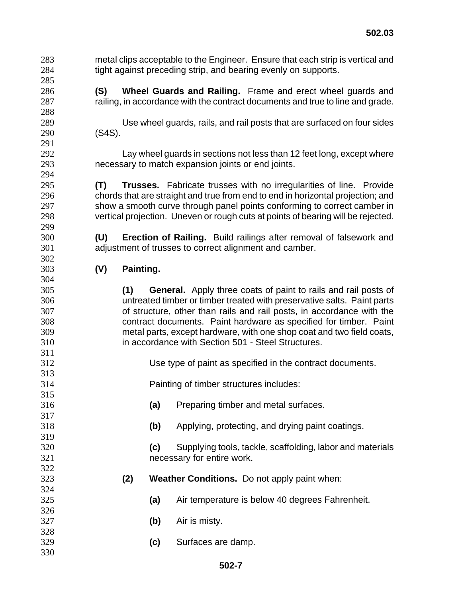metal clips acceptable to the Engineer. Ensure that each strip is vertical and tight against preceding strip, and bearing evenly on supports. **(S) Wheel Guards and Railing.** Frame and erect wheel guards and railing, in accordance with the contract documents and true to line and grade. Use wheel guards, rails, and rail posts that are surfaced on four sides (S4S). Lay wheel guards in sections not less than 12 feet long, except where necessary to match expansion joints or end joints. **(T) Trusses.** Fabricate trusses with no irregularities of line. Provide chords that are straight and true from end to end in horizontal projection; and show a smooth curve through panel points conforming to correct camber in vertical projection. Uneven or rough cuts at points of bearing will be rejected. **(U) Erection of Railing.** Build railings after removal of falsework and adjustment of trusses to correct alignment and camber. **(V) Painting. (1) General.** Apply three coats of paint to rails and rail posts of untreated timber or timber treated with preservative salts. Paint parts of structure, other than rails and rail posts, in accordance with the contract documents. Paint hardware as specified for timber. Paint metal parts, except hardware, with one shop coat and two field coats, in accordance with Section 501 - Steel Structures. Use type of paint as specified in the contract documents. Painting of timber structures includes: **(a)** Preparing timber and metal surfaces. **(b)** Applying, protecting, and drying paint coatings. **(c)** Supplying tools, tackle, scaffolding, labor and materials necessary for entire work. **(2) Weather Conditions.** Do not apply paint when: **(a)** Air temperature is below 40 degrees Fahrenheit. **(b)** Air is misty. **(c)** Surfaces are damp.